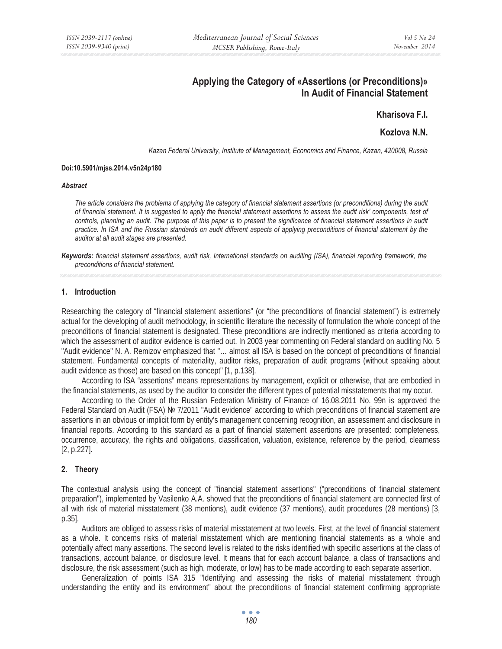# **Applying the Category of «Assertions (or Preconditions)» In Audit of Financial Statement**

# **Kharisova F.I.**

# **Kozlova N.N.**

*Kazan Federal University, Institute of Management, Economics and Finance, Kazan, 420008, Russia* 

#### **Doi:10.5901/mjss.2014.v5n24p180**

#### *Abstract*

*The article considers the problems of applying the category of financial statement assertions (or preconditions) during the audit of financial statement. It is suggested to apply the financial statement assertions to assess the audit risk' components, test of*  controls, planning an audit. The purpose of this paper is to present the significance of financial statement assertions in audit *practice. In ISA and the Russian standards on audit different aspects of applying preconditions of financial statement by the auditor at all audit stages are presented.* 

*Keywords: financial statement assertions, audit risk, International standards on auditing (ISA), financial reporting framework, the preconditions of financial statement.* 

# **1. Introduction**

Researching the category of "financial statement assertions" (or "the preconditions of financial statement") is extremely actual for the developing of audit methodology, in scientific literature the necessity of formulation the whole concept of the preconditions of financial statement is designated. These preconditions are indirectly mentioned as criteria according to which the assessment of auditor evidence is carried out. In 2003 year commenting on Federal standard on auditing No. 5 "Audit evidence" N. A. Remizov emphasized that "… almost all ISA is based on the concept of preconditions of financial statement. Fundamental concepts of materiality, auditor risks, preparation of audit programs (without speaking about audit evidence as those) are based on this concept" [1, p.138].

According to ISA "assertions" means representations by management, explicit or otherwise, that are embodied in the financial statements, as used by the auditor to consider the different types of potential misstatements that my occur.

According to the Order of the Russian Federation Ministry of Finance of 16.08.2011 No. 99n is approved the Federal Standard on Audit (FSA) № 7/2011 "Audit evidence" according to which preconditions of financial statement are assertions in an obvious or implicit form by entity's management concerning recognition, an assessment and disclosure in financial reports. According to this standard as a part of financial statement assertions are presented: completeness, occurrence, accuracy, the rights and obligations, classification, valuation, existence, reference by the period, clearness [2, p.227].

# **2. Theory**

The contextual analysis using the concept of "financial statement assertions" ("preconditions of financial statement preparation"), implemented by Vasilenko A.A. showed that the preconditions of financial statement are connected first of all with risk of material misstatement (38 mentions), audit evidence (37 mentions), audit procedures (28 mentions) [3, p.35].

Auditors are obliged to assess risks of material misstatement at two levels. First, at the level of financial statement as a whole. It concerns risks of material misstatement which are mentioning financial statements as a whole and potentially affect many assertions. The second level is related to the risks identified with specific assertions at the class of transactions, account balance, or disclosure level. It means that for each account balance, a class of transactions and disclosure, the risk assessment (such as high, moderate, or low) has to be made according to each separate assertion.

Generalization of points ISA 315 "Identifying and assessing the risks of material misstatement through understanding the entity and its environment" about the preconditions of financial statement confirming appropriate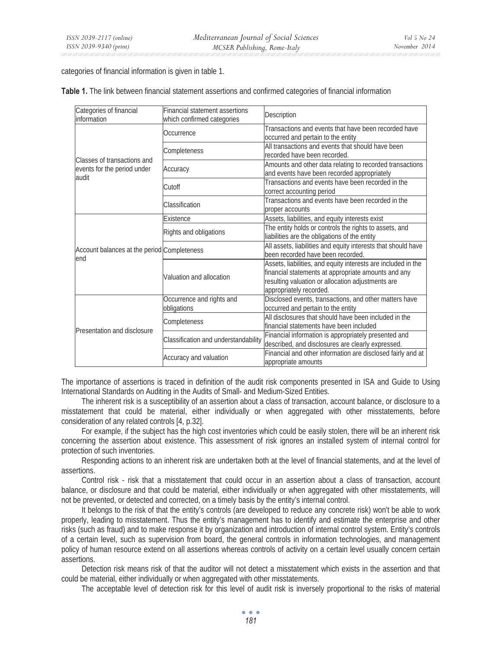categories of financial information is given in table 1.

| Categories of financial<br>information      | <b>Financial statement assertions</b><br>which confirmed categories | Description                                                                                                                                                                                          |  |  |
|---------------------------------------------|---------------------------------------------------------------------|------------------------------------------------------------------------------------------------------------------------------------------------------------------------------------------------------|--|--|
|                                             | Occurrence                                                          | Transactions and events that have been recorded have<br>occurred and pertain to the entity                                                                                                           |  |  |
| Classes of transactions and                 | Completeness                                                        | All transactions and events that should have been<br>recorded have been recorded.                                                                                                                    |  |  |
| events for the period under<br>audit        | Accuracy                                                            | Amounts and other data relating to recorded transactions<br>and events have been recorded appropriately                                                                                              |  |  |
|                                             | Cutoff                                                              | Transactions and events have been recorded in the<br>correct accounting period                                                                                                                       |  |  |
|                                             | Classification                                                      | Transactions and events have been recorded in the<br>proper accounts                                                                                                                                 |  |  |
|                                             | Existence                                                           | Assets, liabilities, and equity interests exist                                                                                                                                                      |  |  |
|                                             | Rights and obligations                                              | The entity holds or controls the rights to assets, and<br>liabilities are the obligations of the entity                                                                                              |  |  |
| Account balances at the period Completeness |                                                                     | All assets, liabilities and equity interests that should have<br>been recorded have been recorded.                                                                                                   |  |  |
| lend                                        | Valuation and allocation                                            | Assets, liabilities, and equity interests are included in the<br>financial statements at appropriate amounts and any<br>resulting valuation or allocation adjustments are<br>appropriately recorded. |  |  |
|                                             | Occurrence and rights and<br>obligations                            | Disclosed events, transactions, and other matters have<br>occurred and pertain to the entity                                                                                                         |  |  |
| Presentation and disclosure                 | Completeness                                                        | All disclosures that should have been included in the<br>financial statements have been included                                                                                                     |  |  |
|                                             | Classification and understandability                                | Financial information is appropriately presented and<br>described, and disclosures are clearly expressed.                                                                                            |  |  |
|                                             | Accuracy and valuation                                              | Financial and other information are disclosed fairly and at<br>appropriate amounts                                                                                                                   |  |  |

**Table 1.** The link between financial statement assertions and confirmed categories of financial information

The importance of assertions is traced in definition of the audit risk components presented in ISA and Guide to Using International Standards on Auditing in the Audits of Small- and Medium-Sized Entities.

The inherent risk is a susceptibility of an assertion about a class of transaction, account balance, or disclosure to a misstatement that could be material, either individually or when aggregated with other misstatements, before consideration of any related controls [4, p.32].

For example, if the subject has the high cost inventories which could be easily stolen, there will be an inherent risk concerning the assertion about existence. This assessment of risk ignores an installed system of internal control for protection of such inventories.

Responding actions to an inherent risk are undertaken both at the level of financial statements, and at the level of assertions.

Control risk - risk that a misstatement that could occur in an assertion about a class of transaction, account balance, or disclosure and that could be material, either individually or when aggregated with other misstatements, will not be prevented, or detected and corrected, on a timely basis by the entity's internal control.

It belongs to the risk of that the entity's controls (are developed to reduce any concrete risk) won't be able to work properly, leading to misstatement. Thus the entity's management has to identify and estimate the enterprise and other risks (such as fraud) and to make response it by organization and introduction of internal control system. Entity's controls of a certain level, such as supervision from board, the general controls in information technologies, and management policy of human resource extend on all assertions whereas controls of activity on a certain level usually concern certain assertions.

Detection risk means risk of that the auditor will not detect a misstatement which exists in the assertion and that could be material, either individually or when aggregated with other misstatements.

The acceptable level of detection risk for this level of audit risk is inversely proportional to the risks of material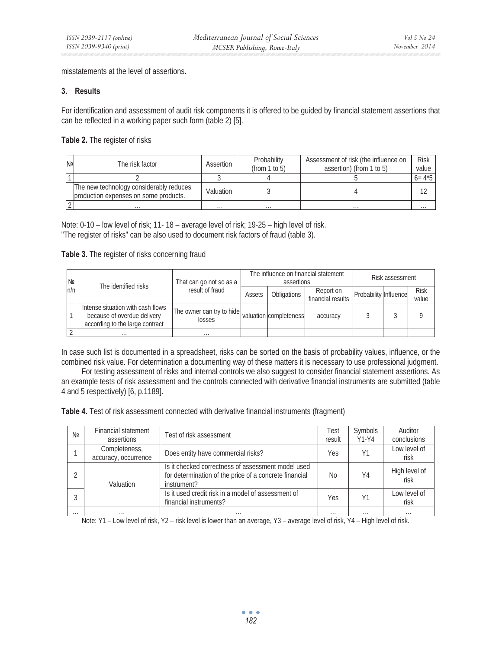misstatements at the level of assertions.

### **3. Results**

For identification and assessment of audit risk components it is offered to be guided by financial statement assertions that can be reflected in a working paper such form (table 2) [5].

**Table 2.** The register of risks

| N <sub>2</sub> | The risk factor                                                                  | Assertion | Probability<br>(from $1$ to $5$ ) | Assessment of risk (the influence on<br>assertion) (from 1 to 5) | <b>Risk</b><br>value |
|----------------|----------------------------------------------------------------------------------|-----------|-----------------------------------|------------------------------------------------------------------|----------------------|
|                |                                                                                  |           |                                   |                                                                  | $6 = 4*5$            |
|                | The new technology considerably reduces<br>production expenses on some products. | Valuation |                                   |                                                                  |                      |
|                | $\cdots$                                                                         | $\cdots$  | $\cdots$                          | $\cdots$                                                         | $\cdots$             |

Note: 0-10 – low level of risk; 11- 18 – average level of risk; 19-25 – high level of risk. "The register of risks" can be also used to document risk factors of fraud (table 3).

## **Table 3.** The register of risks concerning fraud

| N <sub>2</sub> |       | The identified risks                                                                                | That can go not so as a<br>result of fraud                 | The influence on financial statement<br>assertions |             |                                | Risk assessment       |  |                      |
|----------------|-------|-----------------------------------------------------------------------------------------------------|------------------------------------------------------------|----------------------------------------------------|-------------|--------------------------------|-----------------------|--|----------------------|
|                | ln/ni |                                                                                                     |                                                            | Assets                                             | Obligations | Report on<br>financial results | Probability Influence |  | <b>Risk</b><br>value |
|                |       | Intense situation with cash flows<br>because of overdue delivery<br>according to the large contract | The owner can try to hide valuation completeness<br>losses |                                                    |             | accuracy                       |                       |  |                      |
|                |       | $\cdots$                                                                                            | $\cdots$                                                   |                                                    |             |                                |                       |  |                      |

In case such list is documented in a spreadsheet, risks can be sorted on the basis of probability values, influence, or the combined risk value. For determination a documenting way of these matters it is necessary to use professional judgment.

For testing assessment of risks and internal controls we also suggest to consider financial statement assertions. As an example tests of risk assessment and the controls connected with derivative financial instruments are submitted (table 4 and 5 respectively) [6, p.1189].

**Table 4.** Test of risk assessment connected with derivative financial instruments (fragment)

| Nº       | Financial statement<br>assertions | Test of risk assessment                                                                                                     | Test<br>result | Symbols<br>$Y1-Y4$ | Auditor<br>conclusions |
|----------|-----------------------------------|-----------------------------------------------------------------------------------------------------------------------------|----------------|--------------------|------------------------|
|          | Completeness,                     | Does entity have commercial risks?                                                                                          | Yes            | Y1                 | Low level of           |
|          | accuracy, occurrence              |                                                                                                                             |                |                    | risk                   |
|          | Valuation                         | Is it checked correctness of assessment model used<br>for determination of the price of a concrete financial<br>instrument? | No             | Y4                 | High level of<br>risk  |
| 3        |                                   | Is it used credit risk in a model of assessment of<br>financial instruments?                                                | Yes            |                    | Low level of<br>risk   |
| $\cdots$ | $\cdots$                          | $\cdots$                                                                                                                    | $\cdots$       | $\cdots$           | $\cdots$               |

Note: Y1 – Low level of risk, Y2 – risk level is lower than an average, Y3 – average level of risk, Y4 – High level of risk.

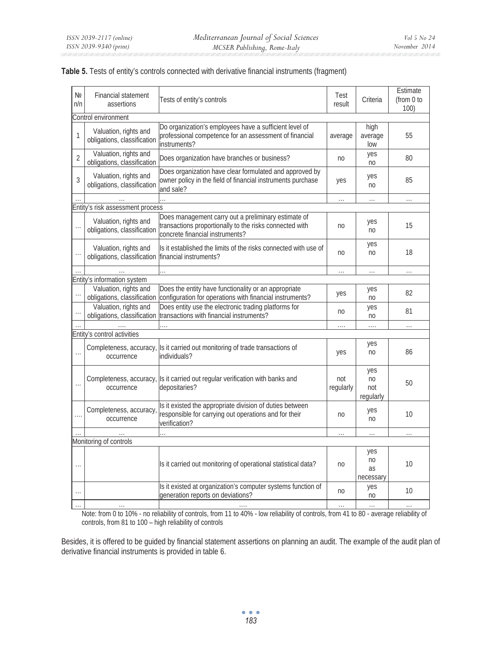| N <sub>2</sub><br>n/n | <b>Financial statement</b><br>assertions             | Tests of entity's controls                                                                                                                        | Test<br>result   | Criteria                                  | Estimate<br>(from 0 to<br>100) |  |  |  |  |
|-----------------------|------------------------------------------------------|---------------------------------------------------------------------------------------------------------------------------------------------------|------------------|-------------------------------------------|--------------------------------|--|--|--|--|
|                       | Control environment                                  |                                                                                                                                                   |                  |                                           |                                |  |  |  |  |
| 1                     | Valuation, rights and<br>obligations, classification | Do organization's employees have a sufficient level of<br>professional competence for an assessment of financial<br>instruments?                  | average          | high<br>average<br>low                    | 55                             |  |  |  |  |
| $\overline{2}$        | Valuation, rights and<br>obligations, classification | Does organization have branches or business?                                                                                                      | n <sub>0</sub>   | yes<br>n <sub>0</sub>                     | 80                             |  |  |  |  |
| 3                     | Valuation, rights and<br>obligations, classification | Does organization have clear formulated and approved by<br>owner policy in the field of financial instruments purchase<br>and sale?               | yes              | yes<br>n <sub>0</sub>                     | 85                             |  |  |  |  |
|                       |                                                      |                                                                                                                                                   | $\cdots$         | $\ldots$                                  | $\cdots$                       |  |  |  |  |
|                       | Entity's risk assessment process                     |                                                                                                                                                   |                  |                                           |                                |  |  |  |  |
|                       | Valuation, rights and<br>obligations, classification | Does management carry out a preliminary estimate of<br>transactions proportionally to the risks connected with<br>concrete financial instruments? | no               | yes<br>n <sub>0</sub>                     | 15                             |  |  |  |  |
|                       | Valuation, rights and<br>obligations, classification | Is it established the limits of the risks connected with use of<br>financial instruments?                                                         | n <sub>0</sub>   | yes<br>n <sub>0</sub>                     | 18                             |  |  |  |  |
|                       |                                                      |                                                                                                                                                   | $\cdots$         | $\cdots$                                  | $\cdots$                       |  |  |  |  |
|                       | Entity's information system                          |                                                                                                                                                   |                  |                                           |                                |  |  |  |  |
|                       | Valuation, rights and<br>obligations, classification | Does the entity have functionality or an appropriate<br>configuration for operations with financial instruments?                                  | yes              | yes<br>n <sub>0</sub>                     | 82                             |  |  |  |  |
|                       | Valuation, rights and<br>obligations, classification | Does entity use the electronic trading platforms for<br>transactions with financial instruments?                                                  | no               | yes<br>no                                 | 81                             |  |  |  |  |
|                       |                                                      |                                                                                                                                                   |                  | .                                         | $\cdots$                       |  |  |  |  |
|                       | Entity's control activities                          |                                                                                                                                                   |                  |                                           |                                |  |  |  |  |
|                       | Completeness, accuracy,<br>occurrence                | Is it carried out monitoring of trade transactions of<br>individuals?                                                                             | yes              | yes<br>n <sub>0</sub>                     | 86                             |  |  |  |  |
|                       | occurrence                                           | Completeness, accuracy, Is it carried out regular verification with banks and<br>depositaries?                                                    | not<br>regularly | yes<br>n <sub>0</sub><br>not<br>regularly | 50                             |  |  |  |  |
|                       | Completeness, accuracy<br>occurrence                 | Is it existed the appropriate division of duties between<br>responsible for carrying out operations and for their<br>verification?                | no               | yes<br>n <sub>0</sub>                     | 10                             |  |  |  |  |
|                       |                                                      |                                                                                                                                                   | $\cdots$         | $\ldots$                                  | $\ldots$                       |  |  |  |  |
|                       | Monitoring of controls                               |                                                                                                                                                   |                  |                                           |                                |  |  |  |  |
|                       |                                                      | Is it carried out monitoring of operational statistical data?                                                                                     | no               | yes<br>n <sub>0</sub><br>as<br>necessary  | 10                             |  |  |  |  |
|                       |                                                      | Is it existed at organization's computer systems function of<br>generation reports on deviations?                                                 | no               | yes<br>n <sub>0</sub>                     | 10                             |  |  |  |  |
|                       |                                                      |                                                                                                                                                   |                  | $\cdots$                                  |                                |  |  |  |  |

| Table 5. Tests of entity's controls connected with derivative financial instruments (fragment) |  |
|------------------------------------------------------------------------------------------------|--|
|------------------------------------------------------------------------------------------------|--|

Note: from 0 to 10% - no reliability of controls, from 11 to 40% - low reliability of controls, from 41 to 80 - average reliability of controls, from 81 to 100 – high reliability of controls

Besides, it is offered to be guided by financial statement assertions on planning an audit. The example of the audit plan of derivative financial instruments is provided in table 6.